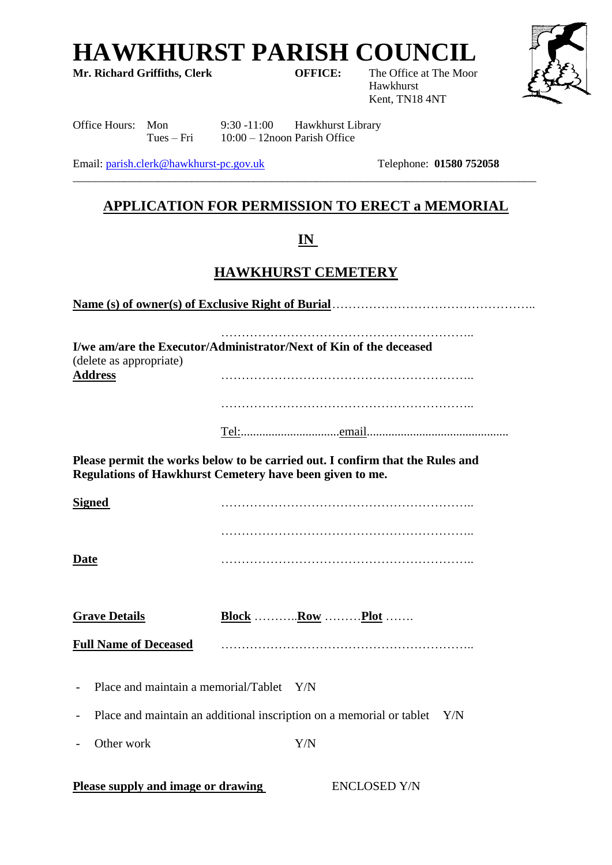**HAWKHURST PARISH COUNCIL**<br>Mr. Richard Griffiths, Clerk **COUNCIL**<br>OFFICE: The Office at The Moor

**Mr. Richard Griffiths, Clerk** 

Hawkhurst Kent, TN18 4NT



Office Hours: Mon 9:30 -11:00 Hawkhurst Library Tues – Fri 10:00 – 12noon Parish Office

Email: [parish.clerk@hawkhurst-pc.gov.uk](mailto:parish.clerk@hawkhurst-pc.gov.uk) Telephone: **01580 752058**

## **APPLICATION FOR PERMISSION TO ERECT a MEMORIAL**

\_\_\_\_\_\_\_\_\_\_\_\_\_\_\_\_\_\_\_\_\_\_\_\_\_\_\_\_\_\_\_\_\_\_\_\_\_\_\_\_\_\_\_\_\_\_\_\_\_\_\_\_\_\_\_\_\_\_\_\_\_\_\_\_\_\_\_\_\_\_\_\_\_\_\_\_\_\_\_\_\_\_

## **IN**

## **HAWKHURST CEMETERY**

**Name (s) of owner(s) of Exclusive Right of Burial**…………………………………………..

…………………………………………………….. **I/we am/are the Executor/Administrator/Next of Kin of the deceased** (delete as appropriate) **Address** ……………………………………………………..

Tel:................................email..............................................

**Please permit the works below to be carried out. I confirm that the Rules and Regulations of Hawkhurst Cemetery have been given to me.**

**Signed** …………………………………………………….. …………………………………………………….. **Date** ……………………………………………………..

**Grave Details Block** ………..**Row** ………**Plot** …….

**Full Name of Deceased** ……………………………………………………..

- Place and maintain a memorial/Tablet Y/N

- Place and maintain an additional inscription on a memorial or tablet Y/N

Other work Y/N

**Please supply and image or drawing ENCLOSED Y/N**